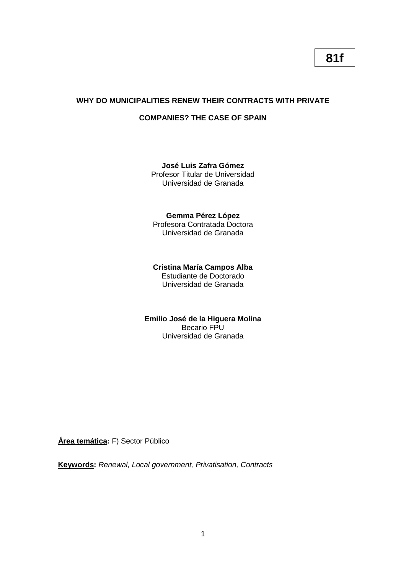# **WHY DO MUNICIPALITIES RENEW THEIR CONTRACTS WITH PRIVATE**

# **COMPANIES? THE CASE OF SPAIN**

# **José Luis Zafra Gómez**

Profesor Titular de Universidad Universidad de Granada

## **Gemma Pérez López**

Profesora Contratada Doctora Universidad de Granada

# **Cristina María Campos Alba**

Estudiante de Doctorado Universidad de Granada

#### **Emilio José de la Higuera Molina** Becario FPU Universidad de Granada

**Área temática:** F) Sector Público

**Keywords:** *Renewal, Local government, Privatisation, Contracts*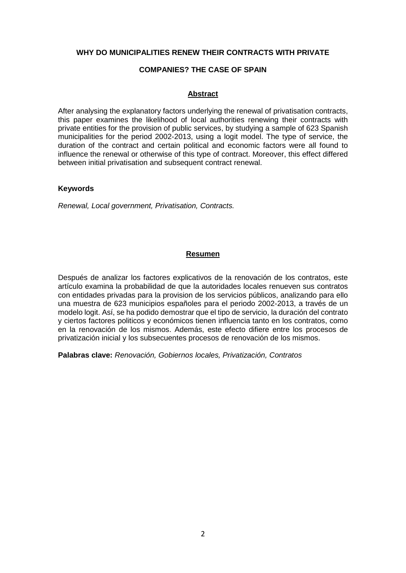### **WHY DO MUNICIPALITIES RENEW THEIR CONTRACTS WITH PRIVATE**

### **COMPANIES? THE CASE OF SPAIN**

### **Abstract**

After analysing the explanatory factors underlying the renewal of privatisation contracts, this paper examines the likelihood of local authorities renewing their contracts with private entities for the provision of public services, by studying a sample of 623 Spanish municipalities for the period 2002-2013, using a logit model. The type of service, the duration of the contract and certain political and economic factors were all found to influence the renewal or otherwise of this type of contract. Moreover, this effect differed between initial privatisation and subsequent contract renewal.

### **Keywords**

*Renewal, Local government, Privatisation, Contracts.*

### **Resumen**

Después de analizar los factores explicativos de la renovación de los contratos, este artículo examina la probabilidad de que la autoridades locales renueven sus contratos con entidades privadas para la provision de los servicios públicos, analizando para ello una muestra de 623 municipios españoles para el periodo 2002-2013, a través de un modelo logit. Así, se ha podido demostrar que el tipo de servicio, la duración del contrato y ciertos factores politicos y económicos tienen influencia tanto en los contratos, como en la renovación de los mismos. Además, este efecto difiere entre los procesos de privatización inicial y los subsecuentes procesos de renovación de los mismos.

**Palabras clave:** *Renovación, Gobiernos locales, Privatización, Contratos*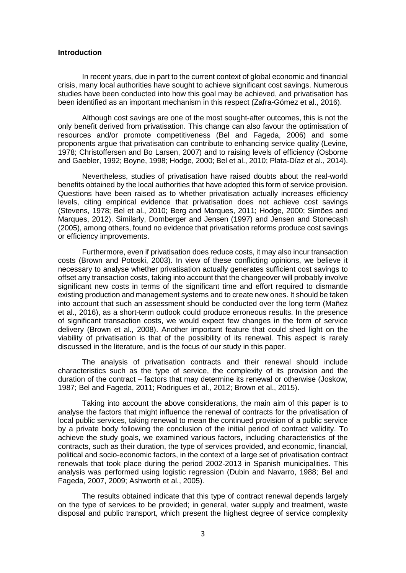#### **Introduction**

In recent years, due in part to the current context of global economic and financial crisis, many local authorities have sought to achieve significant cost savings. Numerous studies have been conducted into how this goal may be achieved, and privatisation has been identified as an important mechanism in this respect (Zafra-Gómez et al., 2016).

Although cost savings are one of the most sought-after outcomes, this is not the only benefit derived from privatisation. This change can also favour the optimisation of resources and/or promote competitiveness (Bel and Fageda, 2006) and some proponents argue that privatisation can contribute to enhancing service quality (Levine, 1978; Christoffersen and Bo Larsen, 2007) and to raising levels of efficiency (Osborne and Gaebler, 1992; Boyne, 1998; Hodge, 2000; Bel et al., 2010; Plata-Díaz et al., 2014).

Nevertheless, studies of privatisation have raised doubts about the real-world benefits obtained by the local authorities that have adopted this form of service provision. Questions have been raised as to whether privatisation actually increases efficiency levels, citing empirical evidence that privatisation does not achieve cost savings (Stevens, 1978; Bel et al., 2010; Berg and Marques, 2011; Hodge, 2000; Simões and Marques, 2012). Similarly, Domberger and Jensen (1997) and Jensen and Stonecash (2005), among others, found no evidence that privatisation reforms produce cost savings or efficiency improvements.

Furthermore, even if privatisation does reduce costs, it may also incur transaction costs (Brown and Potoski, 2003). In view of these conflicting opinions, we believe it necessary to analyse whether privatisation actually generates sufficient cost savings to offset any transaction costs, taking into account that the changeover will probably involve significant new costs in terms of the significant time and effort required to dismantle existing production and management systems and to create new ones. It should be taken into account that such an assessment should be conducted over the long term (Mañez et al., 2016), as a short-term outlook could produce erroneous results. In the presence of significant transaction costs, we would expect few changes in the form of service delivery (Brown et al., 2008). Another important feature that could shed light on the viability of privatisation is that of the possibility of its renewal. This aspect is rarely discussed in the literature, and is the focus of our study in this paper.

The analysis of privatisation contracts and their renewal should include characteristics such as the type of service, the complexity of its provision and the duration of the contract – factors that may determine its renewal or otherwise (Joskow, 1987; Bel and Fageda, 2011; Rodrigues et al., 2012; Brown et al., 2015).

Taking into account the above considerations, the main aim of this paper is to analyse the factors that might influence the renewal of contracts for the privatisation of local public services, taking renewal to mean the continued provision of a public service by a private body following the conclusion of the initial period of contract validity. To achieve the study goals, we examined various factors, including characteristics of the contracts, such as their duration, the type of services provided, and economic, financial, political and socio-economic factors, in the context of a large set of privatisation contract renewals that took place during the period 2002-2013 in Spanish municipalities. This analysis was performed using logistic regression (Dubin and Navarro, 1988; Bel and Fageda, 2007, 2009; Ashworth et al., 2005).

The results obtained indicate that this type of contract renewal depends largely on the type of services to be provided; in general, water supply and treatment, waste disposal and public transport, which present the highest degree of service complexity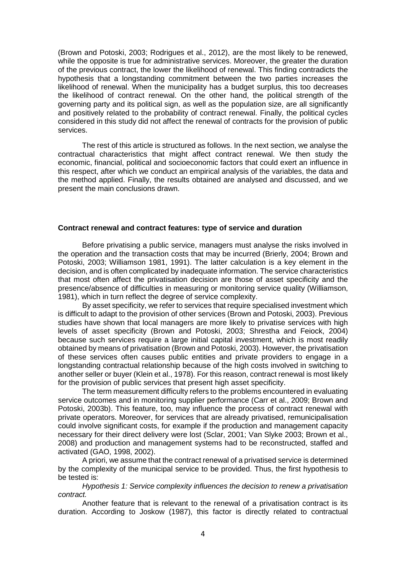(Brown and Potoski, 2003; Rodrigues et al., 2012), are the most likely to be renewed, while the opposite is true for administrative services. Moreover, the greater the duration of the previous contract, the lower the likelihood of renewal. This finding contradicts the hypothesis that a longstanding commitment between the two parties increases the likelihood of renewal. When the municipality has a budget surplus, this too decreases the likelihood of contract renewal. On the other hand, the political strength of the governing party and its political sign, as well as the population size, are all significantly and positively related to the probability of contract renewal. Finally, the political cycles considered in this study did not affect the renewal of contracts for the provision of public services.

The rest of this article is structured as follows. In the next section, we analyse the contractual characteristics that might affect contract renewal. We then study the economic, financial, political and socioeconomic factors that could exert an influence in this respect, after which we conduct an empirical analysis of the variables, the data and the method applied. Finally, the results obtained are analysed and discussed, and we present the main conclusions drawn.

#### **Contract renewal and contract features: type of service and duration**

Before privatising a public service, managers must analyse the risks involved in the operation and the transaction costs that may be incurred (Brierly, 2004; Brown and Potoski, 2003; Williamson 1981, 1991). The latter calculation is a key element in the decision, and is often complicated by inadequate information. The service characteristics that most often affect the privatisation decision are those of asset specificity and the presence/absence of difficulties in measuring or monitoring service quality (Williamson, 1981), which in turn reflect the degree of service complexity.

By asset specificity, we refer to services that require specialised investment which is difficult to adapt to the provision of other services (Brown and Potoski, 2003). Previous studies have shown that local managers are more likely to privatise services with high levels of asset specificity (Brown and Potoski, 2003; Shrestha and Feiock, 2004) because such services require a large initial capital investment, which is most readily obtained by means of privatisation (Brown and Potoski, 2003). However, the privatisation of these services often causes public entities and private providers to engage in a longstanding contractual relationship because of the high costs involved in switching to another seller or buyer (Klein et al., 1978). For this reason, contract renewal is most likely for the provision of public services that present high asset specificity.

The term measurement difficulty refers to the problems encountered in evaluating service outcomes and in monitoring supplier performance (Carr et al., 2009; Brown and Potoski, 2003b). This feature, too, may influence the process of contract renewal with private operators. Moreover, for services that are already privatised, remunicipalisation could involve significant costs, for example if the production and management capacity necessary for their direct delivery were lost (Sclar, 2001; Van Slyke 2003; Brown et al., 2008) and production and management systems had to be reconstructed, staffed and activated (GAO, 1998, 2002).

A priori, we assume that the contract renewal of a privatised service is determined by the complexity of the municipal service to be provided. Thus, the first hypothesis to be tested is:

*Hypothesis 1: Service complexity influences the decision to renew a privatisation contract.* 

Another feature that is relevant to the renewal of a privatisation contract is its duration. According to Joskow (1987), this factor is directly related to contractual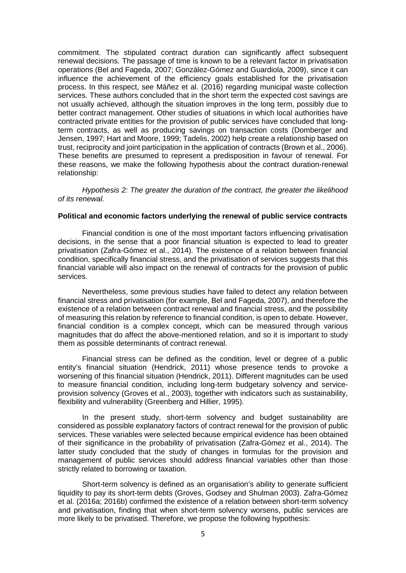commitment. The stipulated contract duration can significantly affect subsequent renewal decisions. The passage of time is known to be a relevant factor in privatisation operations (Bel and Fageda, 2007; González-Gómez and Guardiola, 2009), since it can influence the achievement of the efficiency goals established for the privatisation process. In this respect, see Máñez et al. (2016) regarding municipal waste collection services. These authors concluded that in the short term the expected cost savings are not usually achieved, although the situation improves in the long term, possibly due to better contract management. Other studies of situations in which local authorities have contracted private entities for the provision of public services have concluded that longterm contracts, as well as producing savings on transaction costs (Domberger and Jensen, 1997; Hart and Moore, 1999; Tadelis, 2002) help create a relationship based on trust, reciprocity and joint participation in the application of contracts (Brown et al., 2006). These benefits are presumed to represent a predisposition in favour of renewal. For these reasons, we make the following hypothesis about the contract duration-renewal relationship:

*Hypothesis 2: The greater the duration of the contract, the greater the likelihood of its renewal.*

#### **Political and economic factors underlying the renewal of public service contracts**

Financial condition is one of the most important factors influencing privatisation decisions, in the sense that a poor financial situation is expected to lead to greater privatisation (Zafra-Gómez et al., 2014). The existence of a relation between financial condition, specifically financial stress, and the privatisation of services suggests that this financial variable will also impact on the renewal of contracts for the provision of public services.

Nevertheless, some previous studies have failed to detect any relation between financial stress and privatisation (for example, Bel and Fageda, 2007), and therefore the existence of a relation between contract renewal and financial stress, and the possibility of measuring this relation by reference to financial condition, is open to debate. However, financial condition is a complex concept, which can be measured through various magnitudes that do affect the above-mentioned relation, and so it is important to study them as possible determinants of contract renewal.

Financial stress can be defined as the condition, level or degree of a public entity's financial situation (Hendrick, 2011) whose presence tends to provoke a worsening of this financial situation (Hendrick, 2011). Different magnitudes can be used to measure financial condition, including long-term budgetary solvency and serviceprovision solvency (Groves et al., 2003), together with indicators such as sustainability, flexibility and vulnerability (Greenberg and Hillier, 1995).

In the present study, short-term solvency and budget sustainability are considered as possible explanatory factors of contract renewal for the provision of public services. These variables were selected because empirical evidence has been obtained of their significance in the probability of privatisation (Zafra-Gómez et al., 2014). The latter study concluded that the study of changes in formulas for the provision and management of public services should address financial variables other than those strictly related to borrowing or taxation.

Short-term solvency is defined as an organisation's ability to generate sufficient liquidity to pay its short-term debts (Groves, Godsey and Shulman 2003). Zafra-Gómez et al. (2016a; 2016b) confirmed the existence of a relation between short-term solvency and privatisation, finding that when short-term solvency worsens, public services are more likely to be privatised. Therefore, we propose the following hypothesis: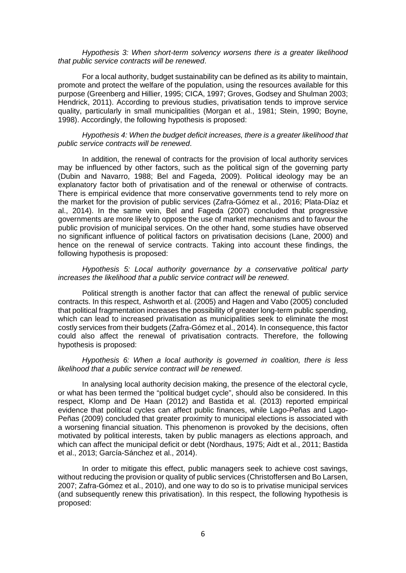#### *Hypothesis 3: When short-term solvency worsens there is a greater likelihood that public service contracts will be renewed*.

For a local authority, budget sustainability can be defined as its ability to maintain, promote and protect the welfare of the population, using the resources available for this purpose (Greenberg and Hillier, 1995; CICA, 1997; Groves, Godsey and Shulman 2003; Hendrick, 2011). According to previous studies, privatisation tends to improve service quality, particularly in small municipalities (Morgan et al., 1981; Stein, 1990; Boyne, 1998). Accordingly, the following hypothesis is proposed:

#### *Hypothesis 4: When the budget deficit increases, there is a greater likelihood that public service contracts will be renewed*.

In addition, the renewal of contracts for the provision of local authority services may be influenced by other factors, such as the political sign of the governing party (Dubin and Navarro, 1988; Bel and Fageda, 2009). Political ideology may be an explanatory factor both of privatisation and of the renewal or otherwise of contracts. There is empirical evidence that more conservative governments tend to rely more on the market for the provision of public services (Zafra-Gómez et al., 2016; Plata-Díaz et al., 2014). In the same vein, Bel and Fageda (2007) concluded that progressive governments are more likely to oppose the use of market mechanisms and to favour the public provision of municipal services. On the other hand, some studies have observed no significant influence of political factors on privatisation decisions (Lane, 2000) and hence on the renewal of service contracts. Taking into account these findings, the following hypothesis is proposed:

#### *Hypothesis 5: Local authority governance by a conservative political party increases the likelihood that a public service contract will be renewed*.

Political strength is another factor that can affect the renewal of public service contracts. In this respect, Ashworth et al. (2005) and Hagen and Vabo (2005) concluded that political fragmentation increases the possibility of greater long-term public spending, which can lead to increased privatisation as municipalities seek to eliminate the most costly services from their budgets (Zafra-Gómez et al., 2014). In consequence, this factor could also affect the renewal of privatisation contracts. Therefore, the following hypothesis is proposed:

*Hypothesis 6: When a local authority is governed in coalition, there is less likelihood that a public service contract will be renewed*.

In analysing local authority decision making, the presence of the electoral cycle, or what has been termed the "political budget cycle", should also be considered. In this respect, Klomp and De Haan (2012) and Bastida et al. (2013) reported empirical evidence that political cycles can affect public finances, while Lago-Peñas and Lago-Peñas (2009) concluded that greater proximity to municipal elections is associated with a worsening financial situation. This phenomenon is provoked by the decisions, often motivated by political interests, taken by public managers as elections approach, and which can affect the municipal deficit or debt (Nordhaus, 1975; Aidt et al., 2011; Bastida et al., 2013; García-Sánchez et al., 2014).

In order to mitigate this effect, public managers seek to achieve cost savings, without reducing the provision or quality of public services (Christoffersen and Bo Larsen, 2007; Zafra-Gómez et al., 2010), and one way to do so is to privatise municipal services (and subsequently renew this privatisation). In this respect, the following hypothesis is proposed: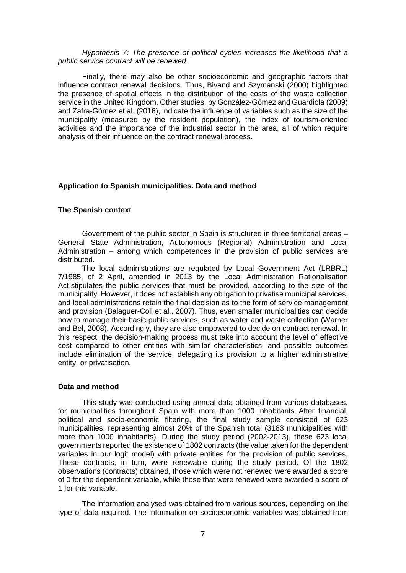#### *Hypothesis 7: The presence of political cycles increases the likelihood that a public service contract will be renewed*.

Finally, there may also be other socioeconomic and geographic factors that influence contract renewal decisions. Thus, Bivand and Szymanski (2000) highlighted the presence of spatial effects in the distribution of the costs of the waste collection service in the United Kingdom. Other studies, by González-Gómez and Guardiola (2009) and Zafra-Gómez et al. (2016), indicate the influence of variables such as the size of the municipality (measured by the resident population), the index of tourism-oriented activities and the importance of the industrial sector in the area, all of which require analysis of their influence on the contract renewal process.

#### **Application to Spanish municipalities. Data and method**

#### **The Spanish context**

Government of the public sector in Spain is structured in three territorial areas – General State Administration, Autonomous (Regional) Administration and Local Administration – among which competences in the provision of public services are distributed.

The local administrations are regulated by Local Government Act (LRBRL) 7/1985, of 2 April, amended in 2013 by the Local Administration Rationalisation Act.stipulates the public services that must be provided, according to the size of the municipality. However, it does not establish any obligation to privatise municipal services, and local administrations retain the final decision as to the form of service management and provision (Balaguer-Coll et al., 2007). Thus, even smaller municipalities can decide how to manage their basic public services, such as water and waste collection (Warner and Bel, 2008). Accordingly, they are also empowered to decide on contract renewal. In this respect, the decision-making process must take into account the level of effective cost compared to other entities with similar characteristics, and possible outcomes include elimination of the service, delegating its provision to a higher administrative entity, or privatisation.

#### **Data and method**

This study was conducted using annual data obtained from various databases, for municipalities throughout Spain with more than 1000 inhabitants. After financial, political and socio-economic filtering, the final study sample consisted of 623 municipalities, representing almost 20% of the Spanish total (3183 municipalities with more than 1000 inhabitants). During the study period (2002-2013), these 623 local governments reported the existence of 1802 contracts (the value taken for the dependent variables in our logit model) with private entities for the provision of public services. These contracts, in turn, were renewable during the study period. Of the 1802 observations (contracts) obtained, those which were not renewed were awarded a score of 0 for the dependent variable, while those that were renewed were awarded a score of 1 for this variable.

The information analysed was obtained from various sources, depending on the type of data required. The information on socioeconomic variables was obtained from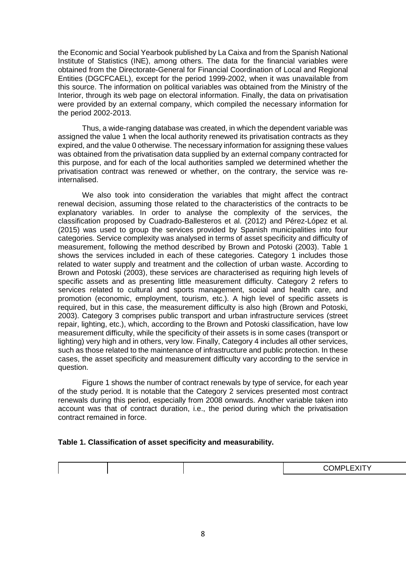the Economic and Social Yearbook published by La Caixa and from the Spanish National Institute of Statistics (INE), among others. The data for the financial variables were obtained from the Directorate-General for Financial Coordination of Local and Regional Entities (DGCFCAEL), except for the period 1999-2002, when it was unavailable from this source. The information on political variables was obtained from the Ministry of the Interior, through its web page on electoral information. Finally, the data on privatisation were provided by an external company, which compiled the necessary information for the period 2002-2013.

Thus, a wide-ranging database was created, in which the dependent variable was assigned the value 1 when the local authority renewed its privatisation contracts as they expired, and the value 0 otherwise. The necessary information for assigning these values was obtained from the privatisation data supplied by an external company contracted for this purpose, and for each of the local authorities sampled we determined whether the privatisation contract was renewed or whether, on the contrary, the service was reinternalised.

We also took into consideration the variables that might affect the contract renewal decision, assuming those related to the characteristics of the contracts to be explanatory variables. In order to analyse the complexity of the services, the classification proposed by Cuadrado-Ballesteros et al. (2012) and Pérez-López et al. (2015) was used to group the services provided by Spanish municipalities into four categories. Service complexity was analysed in terms of asset specificity and difficulty of measurement, following the method described by Brown and Potoski (2003). Table 1 shows the services included in each of these categories. Category 1 includes those related to water supply and treatment and the collection of urban waste. According to Brown and Potoski (2003), these services are characterised as requiring high levels of specific assets and as presenting little measurement difficulty. Category 2 refers to services related to cultural and sports management, social and health care, and promotion (economic, employment, tourism, etc.). A high level of specific assets is required, but in this case, the measurement difficulty is also high (Brown and Potoski, 2003). Category 3 comprises public transport and urban infrastructure services (street repair, lighting, etc.), which, according to the Brown and Potoski classification, have low measurement difficulty, while the specificity of their assets is in some cases (transport or lighting) very high and in others, very low. Finally, Category 4 includes all other services, such as those related to the maintenance of infrastructure and public protection. In these cases, the asset specificity and measurement difficulty vary according to the service in question.

Figure 1 shows the number of contract renewals by type of service, for each year of the study period. It is notable that the Category 2 services presented most contract renewals during this period, especially from 2008 onwards. Another variable taken into account was that of contract duration, i.e., the period during which the privatisation contract remained in force.

#### **Table 1. Classification of asset specificity and measurability.**

|  | $\bigcap M/L$<br>.<br>--<br>$- x 1$ |
|--|-------------------------------------|
|  |                                     |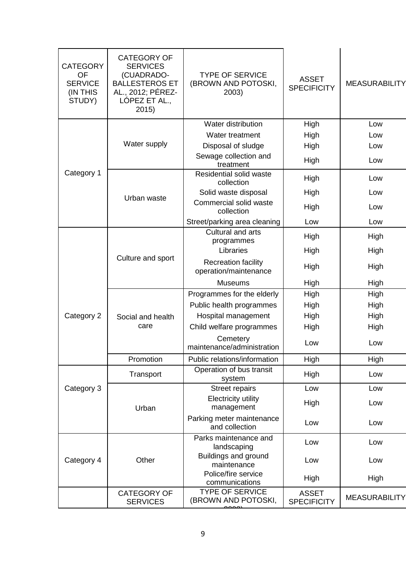| <b>CATEGORY</b><br><b>OF</b><br><b>SERVICE</b><br>(IN THIS<br>STUDY) | <b>CATEGORY OF</b><br><b>SERVICES</b><br>(CUADRADO-<br><b>BALLESTEROS ET</b><br>AL., 2012; PÉREZ-<br>LÓPEZ ET AL.,<br>2015) | <b>TYPE OF SERVICE</b><br>(BROWN AND POTOSKI,<br>2003) | <b>ASSET</b><br><b>SPECIFICITY</b> | <b>MEASURABILITY</b> |
|----------------------------------------------------------------------|-----------------------------------------------------------------------------------------------------------------------------|--------------------------------------------------------|------------------------------------|----------------------|
|                                                                      |                                                                                                                             | Water distribution                                     | High                               | Low                  |
|                                                                      |                                                                                                                             | Water treatment                                        | High                               | Low                  |
|                                                                      | Water supply                                                                                                                | Disposal of sludge                                     | High                               | Low                  |
|                                                                      |                                                                                                                             | Sewage collection and<br>treatment                     | High                               | Low                  |
| Category 1                                                           |                                                                                                                             | Residential solid waste<br>collection                  | High                               | Low                  |
|                                                                      | Urban waste                                                                                                                 | Solid waste disposal                                   | High                               | Low                  |
|                                                                      |                                                                                                                             | Commercial solid waste<br>collection                   | High                               | Low                  |
|                                                                      |                                                                                                                             | Street/parking area cleaning                           | Low                                | Low                  |
|                                                                      |                                                                                                                             | Cultural and arts<br>programmes                        | High                               | High                 |
|                                                                      |                                                                                                                             | Libraries                                              | High                               | High                 |
|                                                                      | Culture and sport                                                                                                           | <b>Recreation facility</b><br>operation/maintenance    | High                               | High                 |
|                                                                      |                                                                                                                             | <b>Museums</b>                                         | High                               | High                 |
|                                                                      |                                                                                                                             | Programmes for the elderly                             | High                               | High                 |
|                                                                      |                                                                                                                             | Public health programmes                               | High                               | High                 |
| Category 2                                                           | Social and health                                                                                                           | Hospital management                                    | High                               | High                 |
|                                                                      | care                                                                                                                        | Child welfare programmes                               | High                               | High                 |
|                                                                      |                                                                                                                             | Cemetery<br>maintenance/administration                 | Low                                | Low                  |
|                                                                      | Promotion                                                                                                                   | Public relations/information                           | High                               | High                 |
|                                                                      | Transport                                                                                                                   | Operation of bus transit<br>system                     | High                               | Low                  |
| Category 3                                                           |                                                                                                                             | <b>Street repairs</b>                                  | Low                                | Low                  |
|                                                                      | Urban                                                                                                                       | <b>Electricity utility</b><br>management               | High                               | Low                  |
|                                                                      |                                                                                                                             | Parking meter maintenance<br>and collection            | Low                                | Low                  |
|                                                                      |                                                                                                                             | Parks maintenance and<br>landscaping                   | Low                                | Low                  |
| Category 4                                                           | Other                                                                                                                       | Buildings and ground<br>maintenance                    | Low                                | Low                  |
|                                                                      |                                                                                                                             | Police/fire service<br>communications                  | High                               | High                 |
|                                                                      | <b>CATEGORY OF</b><br><b>SERVICES</b>                                                                                       | <b>TYPE OF SERVICE</b><br>(BROWN AND POTOSKI,          | <b>ASSET</b><br><b>SPECIFICITY</b> | <b>MEASURABILITY</b> |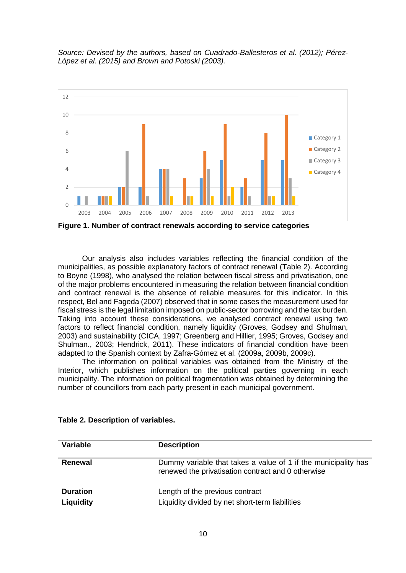*Source: Devised by the authors, based on Cuadrado-Ballesteros et al. (2012); Pérez-López et al. (2015) and Brown and Potoski (2003).*



**Figure 1. Number of contract renewals according to service categories** 

Our analysis also includes variables reflecting the financial condition of the municipalities, as possible explanatory factors of contract renewal (Table 2). According to Boyne (1998), who analysed the relation between fiscal stress and privatisation, one of the major problems encountered in measuring the relation between financial condition and contract renewal is the absence of reliable measures for this indicator. In this respect, Bel and Fageda (2007) observed that in some cases the measurement used for fiscal stress is the legal limitation imposed on public-sector borrowing and the tax burden. Taking into account these considerations, we analysed contract renewal using two factors to reflect financial condition, namely liquidity (Groves, Godsey and Shulman, 2003) and sustainability (CICA, 1997; Greenberg and Hillier, 1995; Groves, Godsey and Shulman., 2003; Hendrick, 2011). These indicators of financial condition have been adapted to the Spanish context by Zafra-Gómez et al. (2009a, 2009b, 2009c).

The information on political variables was obtained from the Ministry of the Interior, which publishes information on the political parties governing in each municipality. The information on political fragmentation was obtained by determining the number of councillors from each party present in each municipal government.

| Variable                     | <b>Description</b>                                                                                                   |
|------------------------------|----------------------------------------------------------------------------------------------------------------------|
| Renewal                      | Dummy variable that takes a value of 1 if the municipality has<br>renewed the privatisation contract and 0 otherwise |
| <b>Duration</b><br>Liquidity | Length of the previous contract<br>Liquidity divided by net short-term liabilities                                   |

**Table 2. Description of variables.**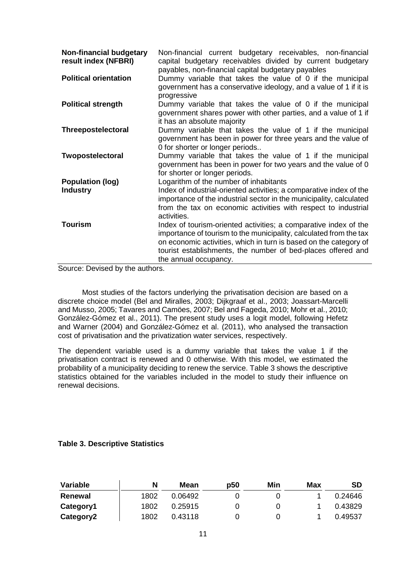| <b>Non-financial budgetary</b><br>result index (NFBRI) | Non-financial current budgetary receivables, non-financial<br>capital budgetary receivables divided by current budgetary<br>payables, non-financial capital budgetary payables                                                                                                                       |
|--------------------------------------------------------|------------------------------------------------------------------------------------------------------------------------------------------------------------------------------------------------------------------------------------------------------------------------------------------------------|
| <b>Political orientation</b>                           | Dummy variable that takes the value of 0 if the municipal<br>government has a conservative ideology, and a value of 1 if it is<br>progressive                                                                                                                                                        |
| <b>Political strength</b>                              | Dummy variable that takes the value of 0 if the municipal<br>government shares power with other parties, and a value of 1 if<br>it has an absolute majority                                                                                                                                          |
| Threepostelectoral                                     | Dummy variable that takes the value of 1 if the municipal<br>government has been in power for three years and the value of<br>0 for shorter or longer periods                                                                                                                                        |
| Twopostelectoral                                       | Dummy variable that takes the value of 1 if the municipal<br>government has been in power for two years and the value of 0<br>for shorter or longer periods.                                                                                                                                         |
| <b>Population (log)</b><br><b>Industry</b>             | Logarithm of the number of inhabitants<br>Index of industrial-oriented activities; a comparative index of the<br>importance of the industrial sector in the municipality, calculated<br>from the tax on economic activities with respect to industrial<br>activities.                                |
| <b>Tourism</b>                                         | Index of tourism-oriented activities; a comparative index of the<br>importance of tourism to the municipality, calculated from the tax<br>on economic activities, which in turn is based on the category of<br>tourist establishments, the number of bed-places offered and<br>the annual occupancy. |

Source: Devised by the authors.

Most studies of the factors underlying the privatisation decision are based on a discrete choice model (Bel and Miralles, 2003; Dijkgraaf et al., 2003; Joassart-Marcelli and Musso, 2005; Tavares and Camöes, 2007; Bel and Fageda, 2010; Mohr et al., 2010; González-Gómez et al., 2011). The present study uses a logit model, following Hefetz and Warner (2004) and González-Gómez et al. (2011), who analysed the transaction cost of privatisation and the privatization water services, respectively.

The dependent variable used is a dummy variable that takes the value 1 if the privatisation contract is renewed and 0 otherwise. With this model, we estimated the probability of a municipality deciding to renew the service. Table 3 shows the descriptive statistics obtained for the variables included in the model to study their influence on renewal decisions.

# **Table 3. Descriptive Statistics**

| Variable  | N    | Mean    | p50 | Min | Max | <b>SD</b> |
|-----------|------|---------|-----|-----|-----|-----------|
| Renewal   | 1802 | 0.06492 |     |     |     | 0.24646   |
| Category1 | 1802 | 0.25915 |     |     |     | 0.43829   |
| Category2 | 1802 | 0.43118 |     |     |     | 0.49537   |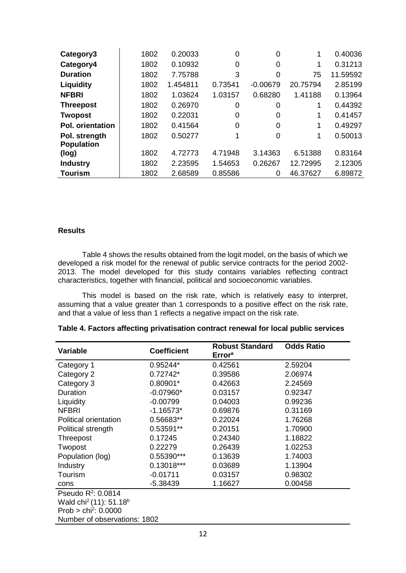| Category3               | 1802 | 0.20033  | 0        | 0          |          | 0.40036  |
|-------------------------|------|----------|----------|------------|----------|----------|
| Category4               | 1802 | 0.10932  | 0        | 0          | 1        | 0.31213  |
| <b>Duration</b>         | 1802 | 7.75788  | 3        | $\Omega$   | 75       | 11.59592 |
| Liquidity               | 1802 | 1.454811 | 0.73541  | $-0.00679$ | 20.75794 | 2.85199  |
| <b>NFBRI</b>            | 1802 | 1.03624  | 1.03157  | 0.68280    | 1.41188  | 0.13964  |
| <b>Threepost</b>        | 1802 | 0.26970  | 0        | 0          |          | 0.44392  |
| <b>Twopost</b>          | 1802 | 0.22031  | 0        | 0          |          | 0.41457  |
| <b>Pol. orientation</b> | 1802 | 0.41564  | $\Omega$ | 0          | 1        | 0.49297  |
| Pol. strength           | 1802 | 0.50277  | 1        | 0          | 1        | 0.50013  |
| <b>Population</b>       |      |          |          |            |          |          |
| (log)                   | 1802 | 4.72773  | 4.71948  | 3.14363    | 6.51388  | 0.83164  |
| <b>Industry</b>         | 1802 | 2.23595  | 1.54653  | 0.26267    | 12.72995 | 2.12305  |
| <b>Tourism</b>          | 1802 | 2.68589  | 0.85586  | 0          | 46.37627 | 6.89872  |

### **Results**

Table 4 shows the results obtained from the logit model, on the basis of which we developed a risk model for the renewal of public service contracts for the period 2002- 2013. The model developed for this study contains variables reflecting contract characteristics, together with financial, political and socioeconomic variables.

This model is based on the risk rate, which is relatively easy to interpret, assuming that a value greater than 1 corresponds to a positive effect on the risk rate, and that a value of less than 1 reflects a negative impact on the risk rate.

| <b>Variable</b>                                | <b>Coefficient</b> | <b>Robust Standard</b><br><b>Error</b> <sup>a</sup> | <b>Odds Ratio</b> |  |  |  |  |  |
|------------------------------------------------|--------------------|-----------------------------------------------------|-------------------|--|--|--|--|--|
| Category 1                                     | 0.95244*           | 0.42561                                             | 2.59204           |  |  |  |  |  |
| Category 2                                     | $0.72742*$         | 0.39586                                             | 2.06974           |  |  |  |  |  |
| Category 3                                     | $0.80901*$         | 0.42663                                             | 2.24569           |  |  |  |  |  |
| Duration                                       | $-0.07960*$        | 0.03157                                             | 0.92347           |  |  |  |  |  |
| Liquidity                                      | $-0.00799$         | 0.04003                                             | 0.99236           |  |  |  |  |  |
| <b>NFBRI</b>                                   | $-1.16573*$        | 0.69876                                             | 0.31169           |  |  |  |  |  |
| Political orientation                          | 0.56683**          | 0.22024                                             | 1.76268           |  |  |  |  |  |
| Political strength                             | 0.53591**          | 0.20151                                             | 1.70900           |  |  |  |  |  |
| Threepost                                      | 0.17245            | 0.24340                                             | 1.18822           |  |  |  |  |  |
| Twopost                                        | 0.22279            | 0.26439                                             | 1.02253           |  |  |  |  |  |
| Population (log)                               | 0.55390***         | 0.13639                                             | 1.74003           |  |  |  |  |  |
| Industry                                       | 0.13018***         | 0.03689                                             | 1.13904           |  |  |  |  |  |
| Tourism                                        | $-0.01711$         | 0.03157                                             | 0.98302           |  |  |  |  |  |
| cons                                           | $-5.38439$         | 1.16627                                             | 0.00458           |  |  |  |  |  |
| Pseudo $R^2$ : 0.0814                          |                    |                                                     |                   |  |  |  |  |  |
| Wald chi <sup>2</sup> (11): 51.18 <sup>b</sup> |                    |                                                     |                   |  |  |  |  |  |
| Prob > $\text{chi}^2$ : 0.0000                 |                    |                                                     |                   |  |  |  |  |  |
| Number of observations: 1802                   |                    |                                                     |                   |  |  |  |  |  |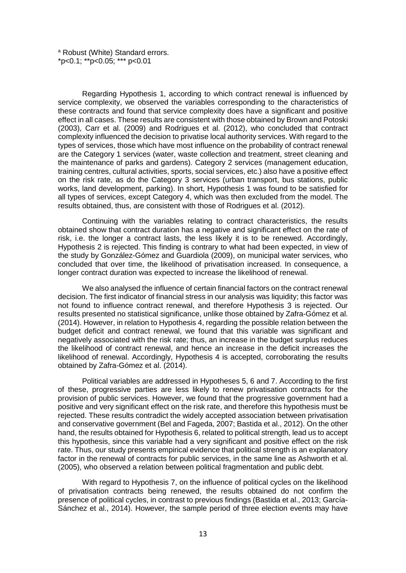a Robust (White) Standard errors. \*p<0.1; \*\*p<0.05; \*\*\* p<0.01

Regarding Hypothesis 1, according to which contract renewal is influenced by service complexity, we observed the variables corresponding to the characteristics of these contracts and found that service complexity does have a significant and positive effect in all cases. These results are consistent with those obtained by Brown and Potoski (2003), Carr et al. (2009) and Rodrigues et al. (2012), who concluded that contract complexity influenced the decision to privatise local authority services. With regard to the types of services, those which have most influence on the probability of contract renewal are the Category 1 services (water, waste collection and treatment, street cleaning and the maintenance of parks and gardens). Category 2 services (management education, training centres, cultural activities, sports, social services, etc.) also have a positive effect on the risk rate, as do the Category 3 services (urban transport, bus stations, public works, land development, parking). In short, Hypothesis 1 was found to be satisfied for all types of services, except Category 4, which was then excluded from the model. The results obtained, thus, are consistent with those of Rodrigues et al. (2012).

Continuing with the variables relating to contract characteristics, the results obtained show that contract duration has a negative and significant effect on the rate of risk, i.e. the longer a contract lasts, the less likely it is to be renewed. Accordingly, Hypothesis 2 is rejected. This finding is contrary to what had been expected, in view of the study by González-Gómez and Guardiola (2009), on municipal water services, who concluded that over time, the likelihood of privatisation increased. In consequence, a longer contract duration was expected to increase the likelihood of renewal.

We also analysed the influence of certain financial factors on the contract renewal decision. The first indicator of financial stress in our analysis was liquidity; this factor was not found to influence contract renewal, and therefore Hypothesis 3 is rejected. Our results presented no statistical significance, unlike those obtained by Zafra-Gómez et al. (2014). However, in relation to Hypothesis 4, regarding the possible relation between the budget deficit and contract renewal, we found that this variable was significant and negatively associated with the risk rate; thus, an increase in the budget surplus reduces the likelihood of contract renewal, and hence an increase in the deficit increases the likelihood of renewal. Accordingly, Hypothesis 4 is accepted, corroborating the results obtained by Zafra-Gómez et al. (2014).

Political variables are addressed in Hypotheses 5, 6 and 7. According to the first of these, progressive parties are less likely to renew privatisation contracts for the provision of public services. However, we found that the progressive government had a positive and very significant effect on the risk rate, and therefore this hypothesis must be rejected. These results contradict the widely accepted association between privatisation and conservative government (Bel and Fageda, 2007; Bastida et al., 2012). On the other hand, the results obtained for Hypothesis 6, related to political strength, lead us to accept this hypothesis, since this variable had a very significant and positive effect on the risk rate. Thus, our study presents empirical evidence that political strength is an explanatory factor in the renewal of contracts for public services, in the same line as Ashworth et al. (2005), who observed a relation between political fragmentation and public debt.

With regard to Hypothesis 7, on the influence of political cycles on the likelihood of privatisation contracts being renewed, the results obtained do not confirm the presence of political cycles, in contrast to previous findings (Bastida et al., 2013; García-Sánchez et al., 2014). However, the sample period of three election events may have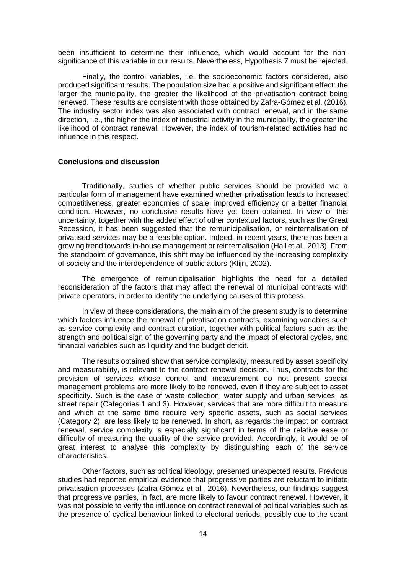been insufficient to determine their influence, which would account for the nonsignificance of this variable in our results. Nevertheless, Hypothesis 7 must be rejected.

Finally, the control variables, i.e. the socioeconomic factors considered, also produced significant results. The population size had a positive and significant effect: the larger the municipality, the greater the likelihood of the privatisation contract being renewed. These results are consistent with those obtained by Zafra-Gómez et al. (2016). The industry sector index was also associated with contract renewal, and in the same direction, i.e., the higher the index of industrial activity in the municipality, the greater the likelihood of contract renewal. However, the index of tourism-related activities had no influence in this respect.

#### **Conclusions and discussion**

Traditionally, studies of whether public services should be provided via a particular form of management have examined whether privatisation leads to increased competitiveness, greater economies of scale, improved efficiency or a better financial condition. However, no conclusive results have yet been obtained. In view of this uncertainty, together with the added effect of other contextual factors, such as the Great Recession, it has been suggested that the remunicipalisation, or reinternalisation of privatised services may be a feasible option. Indeed, in recent years, there has been a growing trend towards in-house management or reinternalisation (Hall et al., 2013). From the standpoint of governance, this shift may be influenced by the increasing complexity of society and the interdependence of public actors (Klijn, 2002).

The emergence of remunicipalisation highlights the need for a detailed reconsideration of the factors that may affect the renewal of municipal contracts with private operators, in order to identify the underlying causes of this process.

In view of these considerations, the main aim of the present study is to determine which factors influence the renewal of privatisation contracts, examining variables such as service complexity and contract duration, together with political factors such as the strength and political sign of the governing party and the impact of electoral cycles, and financial variables such as liquidity and the budget deficit.

The results obtained show that service complexity, measured by asset specificity and measurability, is relevant to the contract renewal decision. Thus, contracts for the provision of services whose control and measurement do not present special management problems are more likely to be renewed, even if they are subject to asset specificity. Such is the case of waste collection, water supply and urban services, as street repair (Categories 1 and 3). However, services that are more difficult to measure and which at the same time require very specific assets, such as social services (Category 2), are less likely to be renewed. In short, as regards the impact on contract renewal, service complexity is especially significant in terms of the relative ease or difficulty of measuring the quality of the service provided. Accordingly, it would be of great interest to analyse this complexity by distinguishing each of the service characteristics.

Other factors, such as political ideology, presented unexpected results. Previous studies had reported empirical evidence that progressive parties are reluctant to initiate privatisation processes (Zafra-Gómez et al., 2016). Nevertheless, our findings suggest that progressive parties, in fact, are more likely to favour contract renewal. However, it was not possible to verify the influence on contract renewal of political variables such as the presence of cyclical behaviour linked to electoral periods, possibly due to the scant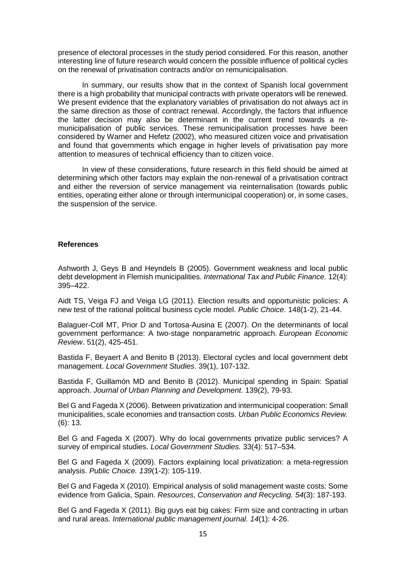presence of electoral processes in the study period considered. For this reason, another interesting line of future research would concern the possible influence of political cycles on the renewal of privatisation contracts and/or on remunicipalisation.

In summary, our results show that in the context of Spanish local government there is a high probability that municipal contracts with private operators will be renewed. We present evidence that the explanatory variables of privatisation do not always act in the same direction as those of contract renewal. Accordingly, the factors that influence the latter decision may also be determinant in the current trend towards a remunicipalisation of public services. These remunicipalisation processes have been considered by Warner and Hefetz (2002), who measured citizen voice and privatisation and found that governments which engage in higher levels of privatisation pay more attention to measures of technical efficiency than to citizen voice.

In view of these considerations, future research in this field should be aimed at determining which other factors may explain the non-renewal of a privatisation contract and either the reversion of service management via reinternalisation (towards public entities, operating either alone or through intermunicipal cooperation) or, in some cases, the suspension of the service.

# **References**

Ashworth J, Geys B and Heyndels B (2005). Government weakness and local public debt development in Flemish municipalities*. International Tax and Public Finance.* 12(4): 395–422.

Aidt TS, Veiga FJ and Veiga LG (2011). Election results and opportunistic policies: A new test of the rational political business cycle model. *Public Choice*. 148(1-2), 21-44.

Balaguer-Coll MT, Prior D and Tortosa-Ausina E (2007). On the determinants of local government performance: A two-stage nonparametric approach. *European Economic Review*. 51(2), 425-451.

Bastida F, Beyaert A and Benito B (2013). Electoral cycles and local government debt management. *Local Government Studies*. 39(1), 107-132.

Bastida F, Guillamón MD and Benito B (2012). Municipal spending in Spain: Spatial approach. *Journal of Urban Planning and Development*. 139(2), 79-93.

Bel G and Fageda X (2006). Between privatization and intermunicipal cooperation: Small municipalities, scale economies and transaction costs. *Urban Public Economics Review.* (6): 13.

Bel G and Fageda X (2007). Why do local governments privatize public services? A survey of empirical studies. *Local Government Studies.* 33(4): 517–534.

Bel G and Fageda X (2009). Factors explaining local privatization: a meta-regression analysis. *Public Choice. 139*(1-2): 105-119.

Bel G and Fageda X (2010). Empirical analysis of solid management waste costs: Some evidence from Galicia, Spain. *Resources, Conservation and Recycling. 54*(3): 187-193.

Bel G and Fageda X (2011). Big guys eat big cakes: Firm size and contracting in urban and rural areas. *International public management journal. 14*(1): 4-26.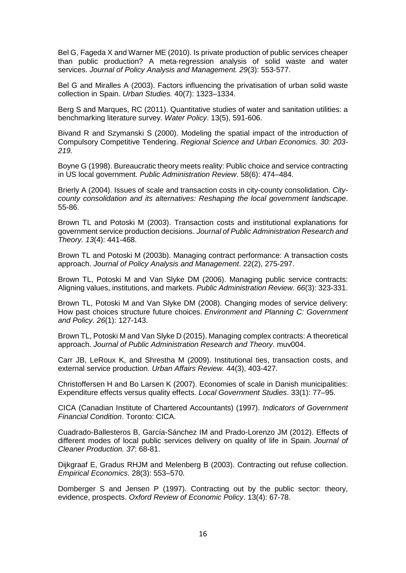Bel G, Fageda X and Warner ME (2010). Is private production of public services cheaper than public production? A meta‐regression analysis of solid waste and water services. *Journal of Policy Analysis and Management. 29*(3): 553-577.

Bel G and Miralles A (2003). Factors influencing the privatisation of urban solid waste collection in Spain. *Urban Studies.* 40(7): 1323–1334.

Berg S and Marques, RC (2011). Quantitative studies of water and sanitation utilities: a benchmarking literature survey. *Water Policy*. 13(5), 591-606.

Bivand R and Szymanski S (2000). Modeling the spatial impact of the introduction of Compulsory Competitive Tendering. *Regional Science and Urban Economics. 30: 203- 219.*

Boyne G (1998). Bureaucratic theory meets reality: Public choice and service contracting in US local government. *Public Administration Review*. 58(6): 474–484.

Brierly A (2004). Issues of scale and transaction costs in city-county consolidation. *Citycounty consolidation and its alternatives: Reshaping the local government landscape*. 55-86.

Brown TL and Potoski M (2003). Transaction costs and institutional explanations for government service production decisions. *Journal of Public Administration Research and Theory. 13*(4): 441-468.

Brown TL and Potoski M (2003b). Managing contract performance: A transaction costs approach. *Journal of Policy Analysis and Management*. 22(2), 275-297.

Brown TL, Potoski M and Van Slyke DM (2006). Managing public service contracts: Aligning values, institutions, and markets. *Public Administration Review. 66*(3): 323-331.

Brown TL, Potoski M and Van Slyke DM (2008). Changing modes of service delivery: How past choices structure future choices. *Environment and Planning C: Government and Policy. 26*(1): 127-143.

Brown TL, Potoski M and Van Slyke D (2015). Managing complex contracts: A theoretical approach. *Journal of Public Administration Research and Theory*. muv004.

Carr JB, LeRoux K, and Shrestha M (2009). Institutional ties, transaction costs, and external service production. *Urban Affairs Review.* 44(3), 403-427.

Christoffersen H and Bo Larsen K (2007). Economies of scale in Danish municipalities: Expenditure effects versus quality effects. *Local Government Studies*. 33(1): 77–95.

CICA (Canadian Institute of Chartered Accountants) (1997). *Indicators of Government Financial Condition*. Toronto: CICA.

Cuadrado-Ballesteros B, García-Sánchez IM and Prado-Lorenzo JM (2012). Effects of different modes of local public services delivery on quality of life in Spain. *Journal of Cleaner Production. 37*: 68-81.

Dijkgraaf E, Gradus RHJM and Melenberg B (2003). Contracting out refuse collection. *Empirical Economics*. 28(3): 553–570.

Domberger S and Jensen P (1997). Contracting out by the public sector: theory, evidence, prospects. *Oxford Review of Economic Policy*. 13(4): 67-78.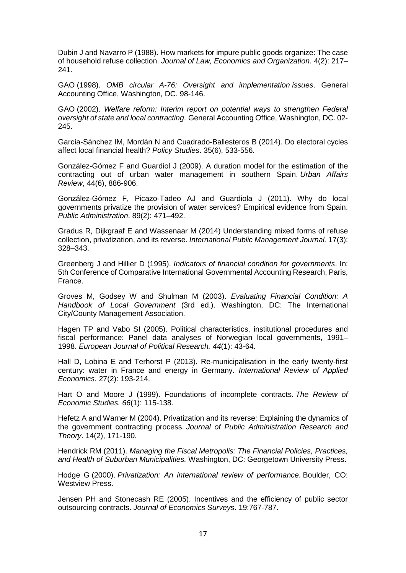Dubin J and Navarro P (1988). How markets for impure public goods organize: The case of household refuse collection. *Journal of Law, Economics and Organization.* 4(2): 217– 241.

GAO (1998). *OMB circular A-76: Oversight and implementation issues*. General Accounting Office, Washington, DC. 98-146.

GAO (2002). *Welfare reform: Interim report on potential ways to strengthen Federal oversight of state and local contracting*. General Accounting Office, Washington, DC. 02- 245.

García-Sánchez IM, Mordán N and Cuadrado-Ballesteros B (2014). Do electoral cycles affect local financial health? *Policy Studies*. 35(6), 533-556.

González-Gómez F and Guardiol J (2009). A duration model for the estimation of the contracting out of urban water management in southern Spain. *Urban Affairs Review*, 44(6), 886-906.

González-Gómez F, Picazo-Tadeo AJ and Guardiola J (2011). Why do local governments privatize the provision of water services? Empirical evidence from Spain. *Public Administration*. 89(2): 471–492.

Gradus R, Dijkgraaf E and Wassenaar M (2014) Understanding mixed forms of refuse collection, privatization, and its reverse. *International Public Management Journal.* 17(3): 328–343.

Greenberg J and Hillier D (1995). *Indicators of financial condition for governments*. In: 5th Conference of Comparative International Governmental Accounting Research, Paris, France.

Groves M, Godsey W and Shulman M (2003). *Evaluating Financial Condition: A Handbook of Local Government* (3rd ed.). Washington, DC: The International City/County Management Association.

Hagen TP and Vabo SI (2005). Political characteristics, institutional procedures and fiscal performance: Panel data analyses of Norwegian local governments, 1991– 1998. *European Journal of Political Research. 44*(1): 43-64.

Hall D, Lobina E and Terhorst P (2013). Re-municipalisation in the early twenty-first century: water in France and energy in Germany. *International Review of Applied Economics.* 27(2): 193-214.

Hart O and Moore J (1999). Foundations of incomplete contracts. *The Review of Economic Studies. 66*(1): 115-138.

Hefetz A and Warner M (2004). Privatization and its reverse: Explaining the dynamics of the government contracting process. *Journal of Public Administration Research and Theory*. 14(2), 171-190.

Hendrick RM (2011). *Managing the Fiscal Metropolis: The Financial Policies, Practices, and Health of Suburban Municipalities.* Washington, DC: Georgetown University Press.

Hodge G (2000). *Privatization: An international review of performance*. Boulder, CO: Westview Press.

Jensen PH and Stonecash RE (2005). Incentives and the efficiency of public sector outsourcing contracts. *Journal of Economics Surveys*. 19:767-787.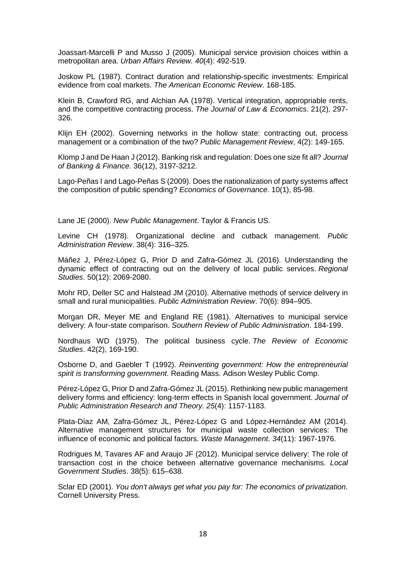Joassart-Marcelli P and Musso J (2005). Municipal service provision choices within a metropolitan area. *Urban Affairs Review. 40*(4): 492-519.

Joskow PL (1987). Contract duration and relationship-specific investments: Empirical evidence from coal markets. *The American Economic Review*. 168-185.

Klein B, Crawford RG, and Alchian AA (1978). Vertical integration, appropriable rents, and the competitive contracting process. *The Journal of Law & Economics*. 21(2), 297- 326.

Klijn EH (2002). Governing networks in the hollow state: contracting out, process management or a combination of the two? *Public Management Review*, 4(2): 149-165.

Klomp J and De Haan J (2012). Banking risk and regulation: Does one size fit all? *Journal of Banking & Finance*. 36(12), 3197-3212.

Lago-Peñas I and Lago-Peñas S (2009). Does the nationalization of party systems affect the composition of public spending? *Economics of Governance*. 10(1), 85-98.

Lane JE (2000). *New Public Management*. Taylor & Francis US.

Levine CH (1978). Organizational decline and cutback management. *Public Administration Review*. 38(4): 316–325.

Máñez J, Pérez-López G, Prior D and Zafra-Gómez JL (2016). Understanding the dynamic effect of contracting out on the delivery of local public services. *Regional Studies*. 50(12): 2069-2080.

Mohr RD, Deller SC and Halstead JM (2010). Alternative methods of service delivery in small and rural municipalities. *Public Administration Review*. 70(6): 894–905.

Morgan DR, Meyer ME and England RE (1981). Alternatives to municipal service delivery: A four-state comparison. *Southern Review of Public Administration*. 184-199.

Nordhaus WD (1975). The political business cycle. *The Review of Economic Studies*. 42(2), 169-190.

Osborne D, and Gaebler T (1992). *Reinventing government: How the entrepreneurial spirit is transforming government*. Reading Mass. Adison Wesley Public Comp.

Pérez-López G, Prior D and Zafra-Gómez JL (2015). Rethinking new public management delivery forms and efficiency: long-term effects in Spanish local government. *Journal of Public Administration Research and Theory. 25*(4): 1157-1183.

Plata-Díaz AM, Zafra-Gómez JL, Pérez-López G and López-Hernández AM (2014). Alternative management structures for municipal waste collection services: The influence of economic and political factors. *Waste Management. 34*(11): 1967-1976.

Rodrigues M, Tavares AF and Araujo JF (2012). Municipal service delivery: The role of transaction cost in the choice between alternative governance mechanisms. *Local Government Studies*. 38(5): 615–638.

Sclar ED (2001). *You don't always get what you pay for: The economics of privatization*. Cornell University Press.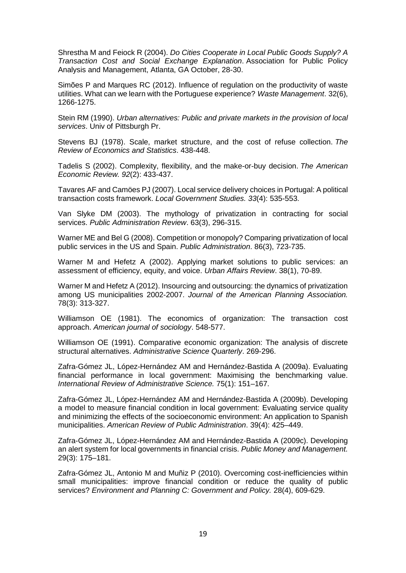Shrestha M and Feiock R (2004). *Do Cities Cooperate in Local Public Goods Supply? A Transaction Cost and Social Exchange Explanation*. Association for Public Policy Analysis and Management, Atlanta, GA October, 28-30.

Simões P and Marques RC (2012). Influence of regulation on the productivity of waste utilities. What can we learn with the Portuguese experience? *Waste Management*. 32(6), 1266-1275.

Stein RM (1990). *Urban alternatives: Public and private markets in the provision of local services*. Univ of Pittsburgh Pr.

Stevens BJ (1978). Scale, market structure, and the cost of refuse collection. *The Review of Economics and Statistics*. 438-448.

Tadelis S (2002). Complexity, flexibility, and the make-or-buy decision. *The American Economic Review. 92*(2): 433-437.

Tavares AF and Camöes PJ (2007). Local service delivery choices in Portugal: A political transaction costs framework. *Local Government Studies. 33*(4): 535-553.

Van Slyke DM (2003). The mythology of privatization in contracting for social services. *Public Administration Review*. 63(3), 296-315.

Warner ME and Bel G (2008). Competition or monopoly? Comparing privatization of local public services in the US and Spain. *Public Administration*. 86(3), 723-735.

Warner M and Hefetz A (2002). Applying market solutions to public services: an assessment of efficiency, equity, and voice. *Urban Affairs Review*. 38(1), 70-89.

Warner M and Hefetz A (2012). Insourcing and outsourcing: the dynamics of privatization among US municipalities 2002-2007. *Journal of the American Planning Association.* 78(3): 313-327.

Williamson OE (1981). The economics of organization: The transaction cost approach. *American journal of sociology*. 548-577.

Williamson OE (1991). Comparative economic organization: The analysis of discrete structural alternatives. *Administrative Science Quarterly*. 269-296.

Zafra-Gómez JL, López-Hernández AM and Hernández-Bastida A (2009a). Evaluating financial performance in local government: Maximising the benchmarking value. *International Review of Administrative Science.* 75(1): 151–167.

Zafra-Gómez JL, López-Hernández AM and Hernández-Bastida A (2009b). Developing a model to measure financial condition in local government: Evaluating service quality and minimizing the effects of the socioeconomic environment: An application to Spanish municipalities. *American Review of Public Administration*. 39(4): 425–449.

Zafra-Gómez JL, López-Hernández AM and Hernández-Bastida A (2009c). Developing an alert system for local governments in financial crisis. *Public Money and Management.* 29(3): 175–181.

Zafra-Gómez JL, Antonio M and Muñiz P (2010). Overcoming cost-inefficiencies within small municipalities: improve financial condition or reduce the quality of public services? *Environment and Planning C: Government and Policy.* 28(4), 609-629.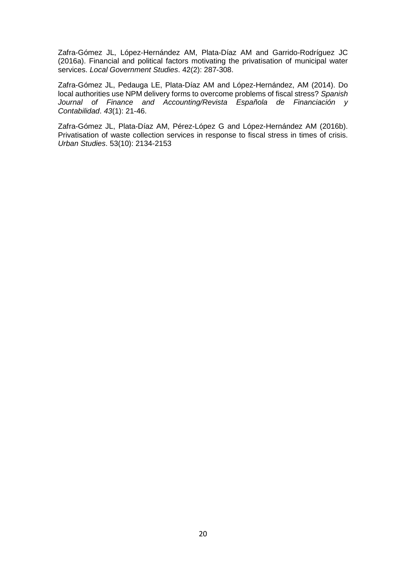Zafra-Gómez JL, López-Hernández AM, Plata-Díaz AM and Garrido-Rodríguez JC (2016a). Financial and political factors motivating the privatisation of municipal water services. *Local Government Studies*. 42(2): 287-308.

Zafra-Gómez JL, Pedauga LE, Plata-Díaz AM and López-Hernández, AM (2014). Do local authorities use NPM delivery forms to overcome problems of fiscal stress? *Spanish Journal of Finance and Accounting/Revista Española de Financiación y Contabilidad*. *43*(1): 21-46.

Zafra-Gómez JL, Plata-Díaz AM, Pérez-López G and López-Hernández AM (2016b). Privatisation of waste collection services in response to fiscal stress in times of crisis. *Urban Studies*. 53(10): 2134-2153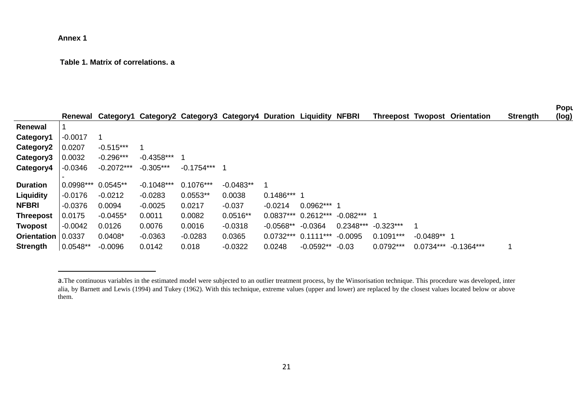## <span id="page-20-0"></span>**Annex 1**

-

# **Table 1. Matrix of correlations. [a](#page-20-0)**

|                      |            |              |              |                                                                  |             |               |               |             |             |               |                                      |                 | Popu  |
|----------------------|------------|--------------|--------------|------------------------------------------------------------------|-------------|---------------|---------------|-------------|-------------|---------------|--------------------------------------|-----------------|-------|
|                      | Renewal    |              |              | Category1 Category2 Category3 Category4 Duration Liquidity NFBRI |             |               |               |             |             |               | <b>Threepost Twopost Orientation</b> | <b>Strength</b> | (log) |
| Renewal              |            |              |              |                                                                  |             |               |               |             |             |               |                                      |                 |       |
| Category1            | $-0.0017$  |              |              |                                                                  |             |               |               |             |             |               |                                      |                 |       |
| Category2            | 0.0207     | $-0.515***$  |              |                                                                  |             |               |               |             |             |               |                                      |                 |       |
| Category3            | 0.0032     | $-0.296***$  | $-0.4358***$ |                                                                  |             |               |               |             |             |               |                                      |                 |       |
| Category4            | $-0.0346$  | $-0.2072***$ | $-0.305***$  | $-0.1754***$ 1                                                   |             |               |               |             |             |               |                                      |                 |       |
|                      |            |              |              |                                                                  |             |               |               |             |             |               |                                      |                 |       |
| <b>Duration</b>      | 0.0998***  | $0.0545**$   | $-0.1048***$ | $0.1076***$                                                      | $-0.0483**$ |               |               |             |             |               |                                      |                 |       |
| Liquidity            | $-0.0176$  | $-0.0212$    | $-0.0283$    | $0.0553**$                                                       | 0.0038      | $0.1486***$ 1 |               |             |             |               |                                      |                 |       |
| <b>NFBRI</b>         | $-0.0376$  | 0.0094       | $-0.0025$    | 0.0217                                                           | $-0.037$    | $-0.0214$     | $0.0962***$ 1 |             |             |               |                                      |                 |       |
| <b>Threepost</b>     | 0.0175     | $-0.0455*$   | 0.0011       | 0.0082                                                           | $0.0516**$  | $0.0837***$   | $0.2612***$   | -0.082***   |             |               |                                      |                 |       |
| <b>Twopost</b>       | $-0.0042$  | 0.0126       | 0.0076       | 0.0016                                                           | $-0.0318$   | $-0.0568**$   | -0.0364       | $0.2348***$ | $-0.323***$ |               |                                      |                 |       |
| Orientation   0.0337 |            | $0.0408*$    | $-0.0363$    | $-0.0283$                                                        | 0.0365      | $0.0732***$   | 0.1111***     | $-0.0095$   | $0.1091***$ | $-0.0489**$ 1 |                                      |                 |       |
| <b>Strength</b>      | $0.0548**$ | $-0.0096$    | 0.0142       | 0.018                                                            | $-0.0322$   | 0.0248        | $-0.0592**$   | $-0.03$     | $0.0792***$ |               | $0.0734***$ -0.1364***               |                 |       |

a.The continuous variables in the estimated model were subjected to an outlier treatment process, by the Winsorisation technique. This procedure was developed, inter alia, by Barnett and Lewis (1994) and Tukey (1962). With this technique, extreme values (upper and lower) are replaced by the closest values located below or above them.